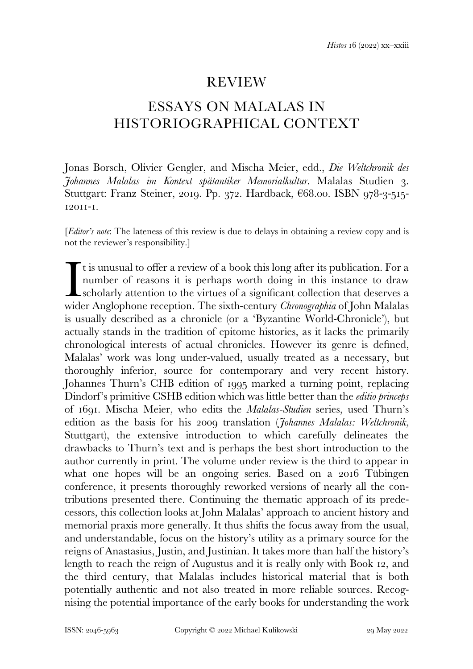## REVIEW

## ESSAYS ON MALALAS IN HISTORIOGRAPHICAL CONTEXT

Jonas Borsch, Olivier Gengler, and Mischa Meier, edd., *Die Weltchronik des Johannes Malalas im Kontext spätantiker Memorialkultur*. Malalas Studien 3. Stuttgart: Franz Steiner, 2019. Pp. 372. Hardback, €68.00. ISBN 978-3-515- 12011-1.

[*Editor's note*: The lateness of this review is due to delays in obtaining a review copy and is not the reviewer's responsibility.]

 $\mathsf{\Gamma}$  t is unusual to offer a review of a book this long after its publication. For a number of reasons it is perhaps worth doing in this instance to draw scholarly attention to the virtues of a significant collection that deserves a It is unusual to offer a review of a book this long after its publication. For a number of reasons it is perhaps worth doing in this instance to draw scholarly attention to the virtues of a significant collection that dese is usually described as a chronicle (or a 'Byzantine World-Chronicle'), but actually stands in the tradition of epitome histories, as it lacks the primarily chronological interests of actual chronicles. However its genre is defined, Malalas' work was long under-valued, usually treated as a necessary, but thoroughly inferior, source for contemporary and very recent history. Johannes Thurn's CHB edition of 1995 marked a turning point, replacing Dindorf's primitive CSHB edition which was little better than the *editio princeps* of 1691. Mischa Meier, who edits the *Malalas-Studien* series, used Thurn's edition as the basis for his 2009 translation (*Johannes Malalas: Weltchronik*, Stuttgart), the extensive introduction to which carefully delineates the drawbacks to Thurn's text and is perhaps the best short introduction to the author currently in print. The volume under review is the third to appear in what one hopes will be an ongoing series. Based on a 2016 Tübingen conference, it presents thoroughly reworked versions of nearly all the contributions presented there. Continuing the thematic approach of its predecessors, this collection looks at John Malalas' approach to ancient history and memorial praxis more generally. It thus shifts the focus away from the usual, and understandable, focus on the history's utility as a primary source for the reigns of Anastasius, Justin, and Justinian. It takes more than half the history's length to reach the reign of Augustus and it is really only with Book 12, and the third century, that Malalas includes historical material that is both potentially authentic and not also treated in more reliable sources. Recognising the potential importance of the early books for understanding the work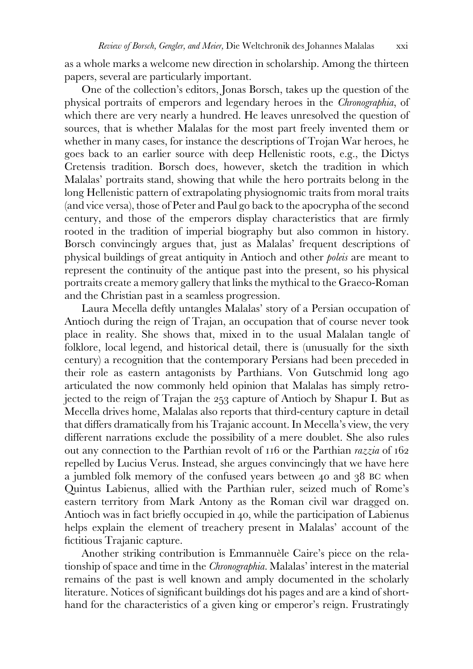as a whole marks a welcome new direction in scholarship. Among the thirteen papers, several are particularly important.

 One of the collection's editors, Jonas Borsch, takes up the question of the physical portraits of emperors and legendary heroes in the *Chronographia*, of which there are very nearly a hundred. He leaves unresolved the question of sources, that is whether Malalas for the most part freely invented them or whether in many cases, for instance the descriptions of Trojan War heroes, he goes back to an earlier source with deep Hellenistic roots, e.g., the Dictys Cretensis tradition. Borsch does, however, sketch the tradition in which Malalas' portraits stand, showing that while the hero portraits belong in the long Hellenistic pattern of extrapolating physiognomic traits from moral traits (and vice versa), those of Peter and Paul go back to the apocrypha of the second century, and those of the emperors display characteristics that are firmly rooted in the tradition of imperial biography but also common in history. Borsch convincingly argues that, just as Malalas' frequent descriptions of physical buildings of great antiquity in Antioch and other *poleis* are meant to represent the continuity of the antique past into the present, so his physical portraits create a memory gallery that links the mythical to the Graeco-Roman and the Christian past in a seamless progression.

 Laura Mecella deftly untangles Malalas' story of a Persian occupation of Antioch during the reign of Trajan, an occupation that of course never took place in reality. She shows that, mixed in to the usual Malalan tangle of folklore, local legend, and historical detail, there is (unusually for the sixth century) a recognition that the contemporary Persians had been preceded in their role as eastern antagonists by Parthians. Von Gutschmid long ago articulated the now commonly held opinion that Malalas has simply retrojected to the reign of Trajan the 253 capture of Antioch by Shapur I. But as Mecella drives home, Malalas also reports that third-century capture in detail that differs dramatically from his Trajanic account. In Mecella's view, the very different narrations exclude the possibility of a mere doublet. She also rules out any connection to the Parthian revolt of 116 or the Parthian *razzia* of 162 repelled by Lucius Verus. Instead, she argues convincingly that we have here a jumbled folk memory of the confused years between 40 and 38 BC when Quintus Labienus, allied with the Parthian ruler, seized much of Rome's eastern territory from Mark Antony as the Roman civil war dragged on. Antioch was in fact briefly occupied in 40, while the participation of Labienus helps explain the element of treachery present in Malalas' account of the fictitious Trajanic capture.

 Another striking contribution is Emmannuèle Caire's piece on the relationship of space and time in the *Chronographia*. Malalas' interest in the material remains of the past is well known and amply documented in the scholarly literature. Notices of significant buildings dot his pages and are a kind of shorthand for the characteristics of a given king or emperor's reign. Frustratingly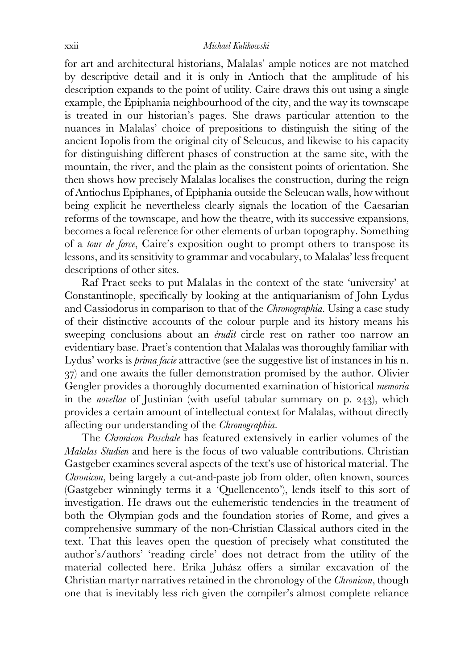for art and architectural historians, Malalas' ample notices are not matched by descriptive detail and it is only in Antioch that the amplitude of his description expands to the point of utility. Caire draws this out using a single example, the Epiphania neighbourhood of the city, and the way its townscape is treated in our historian's pages. She draws particular attention to the nuances in Malalas' choice of prepositions to distinguish the siting of the ancient Iopolis from the original city of Seleucus, and likewise to his capacity for distinguishing different phases of construction at the same site, with the mountain, the river, and the plain as the consistent points of orientation. She then shows how precisely Malalas localises the construction, during the reign of Antiochus Epiphanes, of Epiphania outside the Seleucan walls, how without being explicit he nevertheless clearly signals the location of the Caesarian reforms of the townscape, and how the theatre, with its successive expansions, becomes a focal reference for other elements of urban topography. Something of a *tour de force*, Caire's exposition ought to prompt others to transpose its lessons, and its sensitivity to grammar and vocabulary, to Malalas' less frequent descriptions of other sites.

 Raf Praet seeks to put Malalas in the context of the state 'university' at Constantinople, specifically by looking at the antiquarianism of John Lydus and Cassiodorus in comparison to that of the *Chronographia*. Using a case study of their distinctive accounts of the colour purple and its history means his sweeping conclusions about an *érudit* circle rest on rather too narrow an evidentiary base. Praet's contention that Malalas was thoroughly familiar with Lydus' works is *prima facie* attractive (see the suggestive list of instances in his n. 37) and one awaits the fuller demonstration promised by the author. Olivier Gengler provides a thoroughly documented examination of historical *memoria* in the *novellae* of Justinian (with useful tabular summary on p. 243), which provides a certain amount of intellectual context for Malalas, without directly affecting our understanding of the *Chronographia*.

 The *Chronicon Paschale* has featured extensively in earlier volumes of the *Malalas Studien* and here is the focus of two valuable contributions. Christian Gastgeber examines several aspects of the text's use of historical material. The *Chronicon*, being largely a cut-and-paste job from older, often known, sources (Gastgeber winningly terms it a 'Quellencento'), lends itself to this sort of investigation. He draws out the euhemeristic tendencies in the treatment of both the Olympian gods and the foundation stories of Rome, and gives a comprehensive summary of the non-Christian Classical authors cited in the text. That this leaves open the question of precisely what constituted the author's/authors' 'reading circle' does not detract from the utility of the material collected here. Erika Juhász offers a similar excavation of the Christian martyr narratives retained in the chronology of the *Chronicon*, though one that is inevitably less rich given the compiler's almost complete reliance